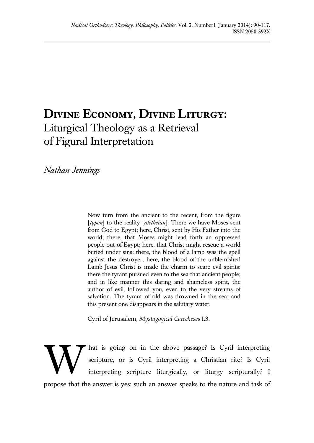# **Divine Economy, Divine Liturgy:** Liturgical Theology as a Retrieval of Figural Interpretation

*Nathan Jennings*

Now turn from the ancient to the recent, from the figure [*typon*] to the reality [*aletheian*]. There we have Moses sent from God to Egypt; here, Christ, sent by His Father into the world; there, that Moses might lead forth an oppressed people out of Egypt; here, that Christ might rescue a world buried under sins: there, the blood of a lamb was the spell against the destroyer; here, the blood of the unblemished Lamb Jesus Christ is made the charm to scare evil spirits: there the tyrant pursued even to the sea that ancient people; and in like manner this daring and shameless spirit, the author of evil, followed you, even to the very streams of salvation. The tyrant of old was drowned in the sea; and this present one disappears in the salutary water.

Cyril of Jerusalem, *Mystagogical Catecheses* I.3.

hat is going on in the above passage? Is Cyril interpreting scripture, or is Cyril interpreting a Christian rite? Is Cyril interpreting scripture liturgically, or liturgy scripturally? I propose that the answer is yes; such an answer speaks to the nature and task of W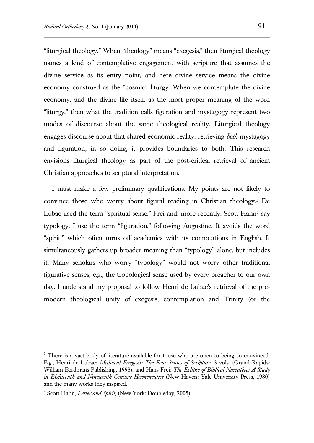"liturgical theology." When "theology" means "exegesis," then liturgical theology names a kind of contemplative engagement with scripture that assumes the divine service as its entry point, and here divine service means the divine economy construed as the "cosmic" liturgy. When we contemplate the divine economy, and the divine life itself, as the most proper meaning of the word "liturgy," then what the tradition calls figuration and mystagogy represent two modes of discourse about the same theological reality. Liturgical theology engages discourse about that shared economic reality, retrieving *both* mystagogy and figuration; in so doing, it provides boundaries to both. This research envisions liturgical theology as part of the post-critical retrieval of ancient Christian approaches to scriptural interpretation.

I must make a few preliminary qualifications. My points are not likely to convince those who worry about figural reading in Christian theology.<sup>1</sup> De Lubac used the term "spiritual sense." Frei and, more recently, Scott Hahn<sup>2</sup> say typology. I use the term "figuration," following Augustine. It avoids the word "spirit," which often turns off academics with its connotations in English. It simultaneously gathers up broader meaning than "typology" alone, but includes it. Many scholars who worry "typology" would not worry other traditional figurative senses, e.g., the tropological sense used by every preacher to our own day. I understand my proposal to follow Henri de Lubac's retrieval of the premodern theological unity of exegesis, contemplation and Trinity (or the

<sup>&</sup>lt;sup>1</sup> There is a vast body of literature available for those who are open to being so convinced. E.g., Henri de Lubac: *Medieval Exegesis: The Four Senses of Scripture*, 3 vols. (Grand Rapids: William Eerdmans Publishing, 1998), and Hans Frei: *The Eclipse of Biblical Narrative: A Study in Eighteenth and Nineteenth Century Hermeneutics* (New Haven: Yale University Press, 1980) and the many works they inspired.

<sup>2</sup> Scott Hahn, *Letter and Spirit*, (New York: Doubleday, 2005).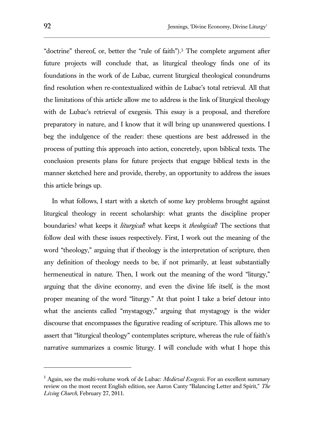"doctrine" thereof, or, better the "rule of faith").<sup>3</sup> The complete argument after future projects will conclude that, as liturgical theology finds one of its foundations in the work of de Lubac, current liturgical theological conundrums find resolution when re-contextualized within de Lubac's total retrieval. All that the limitations of this article allow me to address is the link of liturgical theology with de Lubac's retrieval of exegesis. This essay is a proposal, and therefore preparatory in nature, and I know that it will bring up unanswered questions. I beg the indulgence of the reader: these questions are best addressed in the process of putting this approach into action, concretely, upon biblical texts. The conclusion presents plans for future projects that engage biblical texts in the manner sketched here and provide, thereby, an opportunity to address the issues this article brings up.

In what follows, I start with a sketch of some key problems brought against liturgical theology in recent scholarship: what grants the discipline proper boundaries? what keeps it *liturgical*? what keeps it *theological*? The sections that follow deal with these issues respectively. First, I work out the meaning of the word "theology," arguing that if theology is the interpretation of scripture, then any definition of theology needs to be, if not primarily, at least substantially hermeneutical in nature. Then, I work out the meaning of the word "liturgy," arguing that the divine economy, and even the divine life itself, is the most proper meaning of the word "liturgy." At that point I take a brief detour into what the ancients called "mystagogy," arguing that mystagogy is the wider discourse that encompasses the figurative reading of scripture. This allows me to assert that "liturgical theology" contemplates scripture, whereas the rule of faith's narrative summarizes a cosmic liturgy. I will conclude with what I hope this

<sup>3</sup> Again, see the multi-volume work of de Lubac: *Medieval Exegesis.* For an excellent summary review on the most recent English edition, see Aaron Canty "Balancing Letter and Spirit," *The Living Church*, February 27, 2011.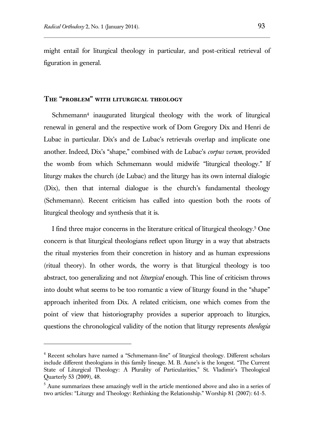l

might entail for liturgical theology in particular, and post-critical retrieval of figuration in general.

### **The "problem" with liturgical theology**

Schmemann<sup>4</sup> inaugurated liturgical theology with the work of liturgical renewal in general and the respective work of Dom Gregory Dix and Henri de Lubac in particular. Dix's and de Lubac's retrievals overlap and implicate one another. Indeed, Dix's "shape," combined with de Lubac's *corpus verum*, provided the womb from which Schmemann would midwife "liturgical theology." If liturgy makes the church (de Lubac) and the liturgy has its own internal dialogic (Dix), then that internal dialogue is the church's fundamental theology (Schmemann). Recent criticism has called into question both the roots of liturgical theology and synthesis that it is.

I find three major concerns in the literature critical of liturgical theology.<sup>5</sup> One concern is that liturgical theologians reflect upon liturgy in a way that abstracts the ritual mysteries from their concretion in history and as human expressions (ritual theory). In other words, the worry is that liturgical theology is too abstract, too generalizing and not *liturgical* enough. This line of criticism throws into doubt what seems to be too romantic a view of liturgy found in the "shape" approach inherited from Dix. A related criticism, one which comes from the point of view that historiography provides a superior approach to liturgics, questions the chronological validity of the notion that liturgy represents *theologia* 

<sup>4</sup> Recent scholars have named a "Schmemann-line" of liturgical theology. Different scholars include different theologians in this family lineage. M. B. Aune's is the longest. "The Current State of Liturgical Theology: A Plurality of Particularities," St. Vladimir's Theological Quarterly 53 (2009), 48.

 $<sup>5</sup>$  Aune summarizes these amazingly well in the article mentioned above and also in a series of</sup> two articles: "Liturgy and Theology: Rethinking the Relationship." Worship 81 (2007): 61-5.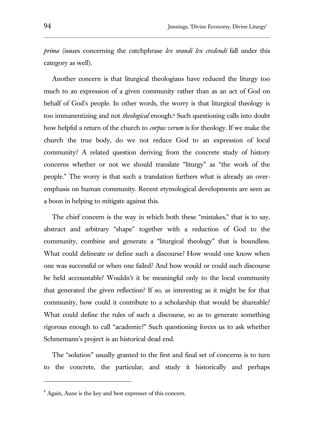*prima* (issues concerning the catchphrase *lex orandi lex credendi* fall under this category as well).

Another concern is that liturgical theologians have reduced the liturgy too much to an expression of a given community rather than as an act of God on behalf of God's people. In other words, the worry is that liturgical theology is too immanentizing and not *theological* enough.<sup>6</sup> Such questioning calls into doubt how helpful a return of the church to *corpus verum* is for theology. If we make the church the true body, do we not reduce God to an expression of local community? A related question deriving from the concrete study of history concerns whether or not we should translate "liturgy" as "the work of the people." The worry is that such a translation furthers what is already an overemphasis on human community. Recent etymological developments are seen as a boon in helping to mitigate against this.

The chief concern is the way in which both these "mistakes," that is to say, abstract and arbitrary "shape" together with a reduction of God to the community, combine and generate a "liturgical theology" that is boundless. What could delineate or define such a discourse? How would one know when one was successful or when one failed? And how would or could such discourse be held accountable? Wouldn't it be meaningful only to the local community that generated the given reflection? If so, as interesting as it might be for that community, how could it contribute to a scholarship that would be shareable? What could define the rules of such a discourse, so as to generate something rigorous enough to call "academic?" Such questioning forces us to ask whether Schmemann's project is an historical dead end.

The "solution" usually granted to the first and final set of concerns is to turn to the concrete, the particular, and study it historically and perhaps

<sup>&</sup>lt;sup>6</sup> Again, Aune is the key and best expresser of this concern.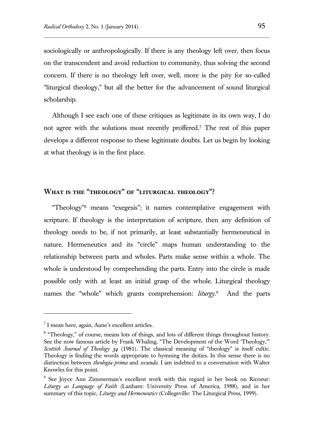sociologically or anthropologically. If there is any theology left over, then focus on the transcendent and avoid reduction to community, thus solving the second concern. If there is no theology left over, well, more is the pity for so-called "liturgical theology," but all the better for the advancement of sound liturgical scholarship.

Although I see each one of these critiques as legitimate in its own way, I do not agree with the solutions most recently proffered.<sup>7</sup> The rest of this paper develops a different response to these legitimate doubts. Let us begin by looking at what theology is in the first place.

## **What is the "theology" of "liturgical theology"?**

"Theology" <sup>8</sup> means "exegesis"; it names contemplative engagement with scripture. If theology is the interpretation of scripture, then any definition of theology needs to be, if not primarily, at least substantially hermeneutical in nature. Hermeneutics and its "circle" maps human understanding to the relationship between parts and wholes. Parts make sense within a whole. The whole is understood by comprehending the parts. Entry into the circle is made possible only with at least an initial grasp of the whole. Liturgical theology names the "whole" which grants comprehension: *liturgy*. <sup>9</sup> And the parts

<sup>&</sup>lt;sup>7</sup> I mean here, again, Aune's excellent articles.

<sup>&</sup>lt;sup>8</sup> "Theology," of course, means lots of things, and lots of different things throughout history. See the now famous article by Frank Whaling, "The Development of the Word 'Theology,'" *Scottish Journal of Theology 34* (1981). The classical meaning of "theology" is itself cultic. Theology is finding the words appropriate to hymning the deities. In this sense there is no distinction between *theologia prima* and *secunda*. I am indebted to a conversation with Walter Knowles for this point.

<sup>9</sup> See Joyce Ann Zimmerman's excellent work with this regard in her book on Ricoeur: *Liturgy as Language of Faith* (Lanham: University Press of America, 1988), and in her summary of this topic, *Liturgy and Hermeneutics* (Collegeville: The Liturgical Press, 1999).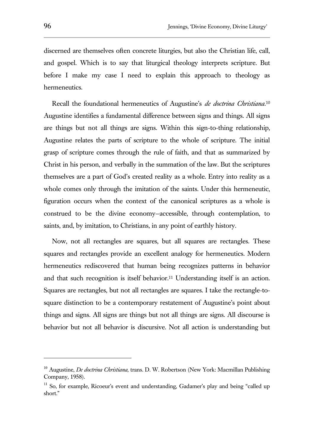discerned are themselves often concrete liturgies, but also the Christian life, call, and gospel. Which is to say that liturgical theology interprets scripture. But before I make my case I need to explain this approach to theology as hermeneutics.

Recall the foundational hermeneutics of Augustine's *de doctrina Christiana*. 10 Augustine identifies a fundamental difference between signs and things. All signs are things but not all things are signs. Within this sign-to-thing relationship, Augustine relates the parts of scripture to the whole of scripture. The initial grasp of scripture comes through the rule of faith, and that as summarized by Christ in his person, and verbally in the summation of the law. But the scriptures themselves are a part of God's created reality as a whole. Entry into reality as a whole comes only through the imitation of the saints. Under this hermeneutic, figuration occurs when the context of the canonical scriptures as a whole is construed to be the divine economy—accessible, through contemplation, to saints, and, by imitation, to Christians, in any point of earthly history.

Now, not all rectangles are squares, but all squares are rectangles. These squares and rectangles provide an excellent analogy for hermeneutics. Modern hermeneutics rediscovered that human being recognizes patterns in behavior and that such recognition is itself behavior.<sup>11</sup> Understanding itself is an action. Squares are rectangles, but not all rectangles are squares. I take the rectangle-tosquare distinction to be a contemporary restatement of Augustine's point about things and signs. All signs are things but not all things are signs. All discourse is behavior but not all behavior is discursive. Not all action is understanding but

<sup>10</sup> Augustine, *De doctrina Christiana,* trans. D. W. Robertson (New York: Macmillan Publishing Company, 1958).

 $11$  So, for example, Ricoeur's event and understanding, Gadamer's play and being "called up short."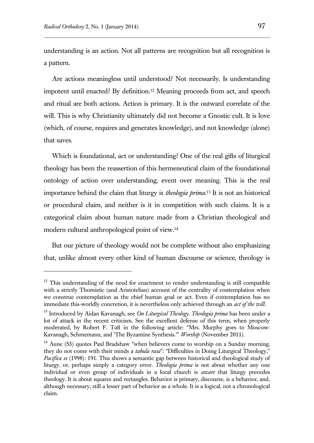$\overline{a}$ 

understanding is an action. Not all patterns are recognition but all recognition is a pattern.

Are actions meaningless until understood? Not necessarily. Is understanding impotent until enacted? By definition.<sup>12</sup> Meaning proceeds from act, and speech and ritual are both actions. Action is primary. It is the outward correlate of the will. This is why Christianity ultimately did not become a Gnostic cult. It is love (which, of course, requires and generates knowledge), and not knowledge (alone) that saves.

Which is foundational, act or understanding? One of the real gifts of liturgical theology has been the reassertion of this hermeneutical claim of the foundational ontology of action over understanding, event over meaning. This is the real importance behind the claim that liturgy is *theologia prima*. <sup>13</sup> It is not an historical or procedural claim, and neither is it in competition with such claims. It is a categorical claim about human nature made from a Christian theological and modern cultural anthropological point of view.<sup>14</sup>

But our picture of theology would not be complete without also emphasizing that, unlike almost every other kind of human discourse or science, theology is

 $12$  This understanding of the need for enactment to render understanding is still compatible with a strictly Thomistic (and Aristotelian) account of the centrality of contemplation when we construe contemplation as the chief human goal or act. Even if contemplation has no immediate this-worldly concretion, it is nevertheless only achieved through an *act of the will*.

<sup>13</sup> Introduced by Aidan Kavanagh, see *On Liturgical Theology*. *Theologia prima* has been under a lot of attack in the recent criticism. See the excellent defense of this term, when properly moderated, by Robert F. Taft in the following article: "Mrs. Murphy goes to Moscow: Kavanagh, Schmemann, and 'The Byzantine Synthesis.'" *Worship* (November 2011).

 $14$  Aune (53) quotes Paul Bradshaw "when believers come to worship on a Sunday morning, they do not come with their minds a *tabula rasa*": "Difficulties in Doing Liturgical Theology," Pacifica II (1998): 191. This shows a semantic gap between historical and theological study of liturgy, or, perhaps simply a category error. *Theologia prima* is not about whether any one individual or even group of individuals in a local church is *aware* that liturgy precedes theology. It is about squares and rectangles. Behavior is primary, discourse, is a behavior, and, although necessary, still a lesser part of behavior as a whole. It is a logical, not a chronological claim.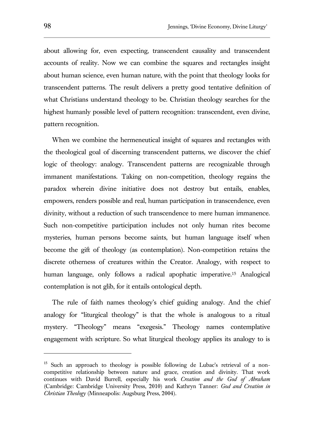about allowing for, even expecting, transcendent causality and transcendent accounts of reality. Now we can combine the squares and rectangles insight about human science, even human nature, with the point that theology looks for transcendent patterns. The result delivers a pretty good tentative definition of what Christians understand theology to be. Christian theology searches for the highest humanly possible level of pattern recognition: transcendent, even divine, pattern recognition.

When we combine the hermeneutical insight of squares and rectangles with the theological goal of discerning transcendent patterns, we discover the chief logic of theology: analogy. Transcendent patterns are recognizable through immanent manifestations. Taking on non-competition, theology regains the paradox wherein divine initiative does not destroy but entails, enables, empowers, renders possible and real, human participation in transcendence, even divinity, without a reduction of such transcendence to mere human immanence. Such non-competitive participation includes not only human rites become mysteries, human persons become saints, but human language itself when become the gift of theology (as contemplation). Non-competition retains the discrete otherness of creatures within the Creator. Analogy, with respect to human language, only follows a radical apophatic imperative.<sup>15</sup> Analogical contemplation is not glib, for it entails ontological depth.

The rule of faith names theology's chief guiding analogy. And the chief analogy for "liturgical theology" is that the whole is analogous to a ritual mystery. "Theology" means "exegesis." Theology names contemplative engagement with scripture. So what liturgical theology applies its analogy to is

<sup>&</sup>lt;sup>15</sup> Such an approach to theology is possible following de Lubac's retrieval of a noncompetitive relationship between nature and grace, creation and divinity. That work continues with David Burrell, especially his work *Creation and the God of Abraham* (Cambridge: Cambridge University Press, 2010) and Kathryn Tanner: *God and Creation in Christian Theology* (Minneapolis: Augsburg Press, 2004).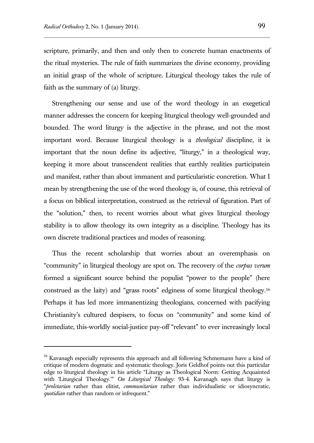$\overline{a}$ 

scripture, primarily, and then and only then to concrete human enactments of the ritual mysteries. The rule of faith summarizes the divine economy, providing an initial grasp of the whole of scripture. Liturgical theology takes the rule of faith as the summary of (a) liturgy.

Strengthening our sense and use of the word theology in an exegetical manner addresses the concern for keeping liturgical theology well-grounded and bounded. The word liturgy is the adjective in the phrase, and not the most important word. Because liturgical theology is a *theological* discipline, it is important that the noun define its adjective, "liturgy," in a theological way, keeping it more about transcendent realities that earthly realities participatein and manifest, rather than about immanent and particularistic concretion. What I mean by strengthening the use of the word theology is, of course, this retrieval of a focus on biblical interpretation, construed as the retrieval of figuration. Part of the "solution," then, to recent worries about what gives liturgical theology stability is to allow theology its own integrity as a discipline. Theology has its own discrete traditional practices and modes of reasoning.

Thus the recent scholarship that worries about an overemphasis on "community" in liturgical theology are spot on. The recovery of the *corpus verum* formed a significant source behind the populist "power to the people" (here construed as the laity) and "grass roots" edginess of some liturgical theology.<sup>16</sup> Perhaps it has led more immanentizing theologians, concerned with pacifying Christianity's cultured despisers, to focus on "community" and some kind of immediate, this-worldly social-justice pay-off "relevant" to ever increasingly local

<sup>&</sup>lt;sup>16</sup> Kavanagh especially represents this approach and all following Schmemann have a kind of critique of modern dogmatic and systematic theology. Joris Geldhof points out this particular edge to liturgical theology in his article "Liturgy as Theological Norm: Getting Acquainted with 'Liturgical Theology.'" *On Liturgical Theology*: 93-4. Kavanagh says that liturgy is "*proletarian* rather than elitist, *communitarian* rather than individualistic or idiosyncratic, *quotidian* rather than random or infrequent."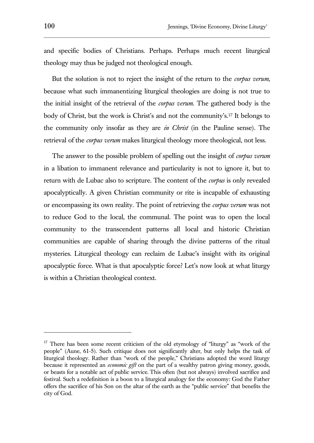and specific bodies of Christians. Perhaps. Perhaps much recent liturgical theology may thus be judged not theological enough.

But the solution is not to reject the insight of the return to the *corpus verum*, because what such immanentizing liturgical theologies are doing is not true to the initial insight of the retrieval of the *corpus verum*. The gathered body is the body of Christ, but the work is Christ's and not the community's.<sup>17</sup> It belongs to the community only insofar as they are *in Christ* (in the Pauline sense). The retrieval of the *corpus verum* makes liturgical theology more theological, not less.

The answer to the possible problem of spelling out the insight of *corpus verum* in a libation to immanent relevance and particularity is not to ignore it, but to return with de Lubac also to scripture. The content of the *corpus* is only revealed apocalyptically. A given Christian community or rite is incapable of exhausting or encompassing its own reality. The point of retrieving the *corpus verum* was not to reduce God to the local, the communal. The point was to open the local community to the transcendent patterns all local and historic Christian communities are capable of sharing through the divine patterns of the ritual mysteries. Liturgical theology can reclaim de Lubac's insight with its original apocalyptic force. What is that apocalyptic force? Let's now look at what liturgy is within a Christian theological context.

 $17$  There has been some recent criticism of the old etymology of "liturgy" as "work of the people" (Aune, 61-5). Such critique does not significantly alter, but only helps the task of liturgical theology. Rather than "work of the people," Christians adopted the word liturgy because it represented an *economic gift* on the part of a wealthy patron giving money, goods, or beasts for a notable act of public service. This often (but not always) involved sacrifice and festival. Such a redefinition is a boon to a liturgical analogy for the economy: God the Father offers the sacrifice of his Son on the altar of the earth as the "public service" that benefits the city of God.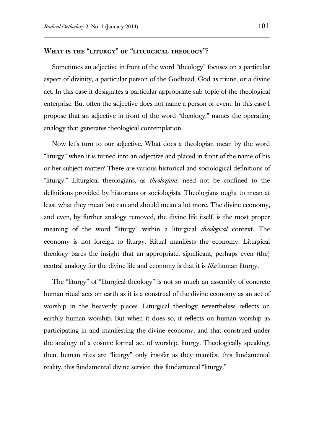## **What is the "liturgy" of "liturgical theology"?**

Sometimes an adjective in front of the word "theology" focuses on a particular aspect of divinity, a particular person of the Godhead, God as triune, or a divine act. In this case it designates a particular appropriate sub-topic of the theological enterprise. But often the adjective does not name a person or event. In this case I propose that an adjective in front of the word "theology," names the operating analogy that generates theological contemplation.

Now let's turn to our adjective. What does a theologian mean by the word "liturgy" when it is turned into an adjective and placed in front of the name of his or her subject matter? There are various historical and sociological definitions of "liturgy." Liturgical theologians, as *theologians,* need not be confined to the definitions provided by historians or sociologists. Theologians ought to mean at least what they mean but can and should mean a lot more. The divine economy, and even, by further analogy removed, the divine life itself, is the most proper meaning of the word "liturgy" within a liturgical *theological* context. The economy is not foreign to liturgy. Ritual manifests the economy. Liturgical theology bares the insight that an appropriate, significant, perhaps even (the) central analogy for the divine life and economy is that it is *like* human liturgy.

The "liturgy" of "liturgical theology" is not so much an assembly of concrete human ritual acts on earth as it is a construal of the divine economy as an act of worship in the heavenly places. Liturgical theology nevertheless reflects on earthly human worship. But when it does so, it reflects on human worship as participating in and manifesting the divine economy, and that construed under the analogy of a cosmic formal act of worship, liturgy. Theologically speaking, then, human rites are "liturgy" only insofar as they manifest this fundamental reality, this fundamental divine service, this fundamental "liturgy."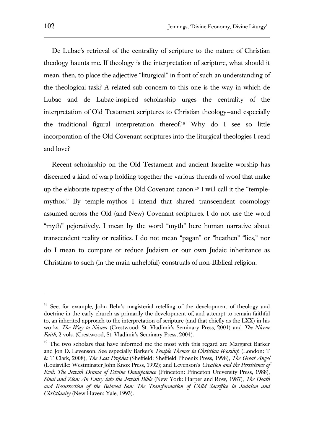De Lubac's retrieval of the centrality of scripture to the nature of Christian theology haunts me. If theology is the interpretation of scripture, what should it mean, then, to place the adjective "liturgical" in front of such an understanding of the theological task? A related sub-concern to this one is the way in which de Lubac and de Lubac-inspired scholarship urges the centrality of the interpretation of Old Testament scriptures to Christian theology—and especially the traditional figural interpretation thereof.<sup>18</sup> Why do I see so little incorporation of the Old Covenant scriptures into the liturgical theologies I read and love?

Recent scholarship on the Old Testament and ancient Israelite worship has discerned a kind of warp holding together the various threads of woof that make up the elaborate tapestry of the Old Covenant canon.<sup>19</sup> I will call it the "templemythos." By temple-mythos I intend that shared transcendent cosmology assumed across the Old (and New) Covenant scriptures. I do not use the word "myth" pejoratively. I mean by the word "myth" here human narrative about transcendent reality or realities. I do not mean "pagan" or "heathen" "lies," nor do I mean to compare or reduce Judaism or our own Judaic inheritance as Christians to such (in the main unhelpful) construals of non-Biblical religion.

<sup>&</sup>lt;sup>18</sup> See, for example, John Behr's magisterial retelling of the development of theology and doctrine in the early church as primarily the development of, and attempt to remain faithful to, an inherited approach to the interpretation of scripture (and that chiefly as the LXX) in his works, *The Way to Nicaea* (Crestwood: St. Vladimir's Seminary Press, 2001) and *The Nicene Faith*, 2 vols. (Crestwood, St. Vladimir's Seminary Press, 2004).

<sup>&</sup>lt;sup>19</sup> The two scholars that have informed me the most with this regard are Margaret Barker and Jon D. Levenson. See especially Barker's *Temple Themes in Christian Worship* (London: T & T Clark, 2008), *The Lost Prophet* (Sheffield: Sheffield Phoenix Press, 1998), *The Great Angel* (Louisville: Westminster John Knox Press, 1992); and Levenson's *Creation and the Persistence of Evil: The Jewish Drama of Divine Omnipotence* (Princeton: Princeton University Press, 1988), *Sinai and Zion: An Entry into the Jewish Bible* (New York: Harper and Row, 1987), *The Death and Resurrection of the Beloved Son: The Transformation of Child Sacrifice in Judaism and Christianity* (New Haven: Yale, 1993).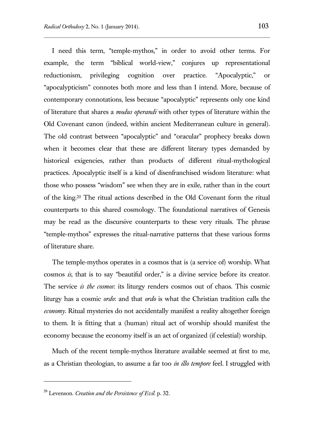I need this term, "temple-mythos," in order to avoid other terms. For example, the term "biblical world-view," conjures up representational reductionism, privileging cognition over practice. "Apocalyptic," or "apocalypticism" connotes both more and less than I intend. More, because of contemporary connotations, less because "apocalyptic" represents only one kind of literature that shares a *modus operandi* with other types of literature within the Old Covenant canon (indeed, within ancient Mediterranean culture in general). The old contrast between "apocalyptic" and "oracular" prophecy breaks down when it becomes clear that these are different literary types demanded by historical exigencies, rather than products of different ritual-mythological practices. Apocalyptic itself is a kind of disenfranchised wisdom literature: what those who possess "wisdom" see when they are in exile, rather than in the court of the king.<sup>20</sup> The ritual actions described in the Old Covenant form the ritual counterparts to this shared cosmology. The foundational narratives of Genesis may be read as the discursive counterparts to these very rituals. The phrase "temple-mythos" expresses the ritual-narrative patterns that these various forms of literature share.

The temple-mythos operates in a cosmos that is (a service of) worship. What cosmos *is*, that is to say "beautiful order," is a divine service before its creator. The service *is the cosmos*: its liturgy renders cosmos out of chaos. This cosmic liturgy has a cosmic *ordo*: and that *ordo* is what the Christian tradition calls the *economy*. Ritual mysteries do not accidentally manifest a reality altogether foreign to them. It is fitting that a (human) ritual act of worship should manifest the economy because the economy itself is an act of organized (if celestial) worship.

Much of the recent temple-mythos literature available seemed at first to me, as a Christian theologian, to assume a far too *in illo tempore* feel. I struggled with

<sup>20</sup> Levenson. *Creation and the Persistence of Evil*. p. 32.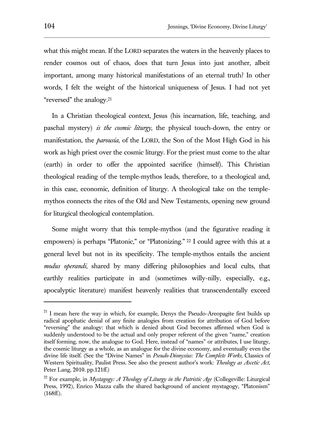what this might mean. If the LORD separates the waters in the heavenly places to render cosmos out of chaos, does that turn Jesus into just another, albeit important, among many historical manifestations of an eternal truth? In other words, I felt the weight of the historical uniqueness of Jesus. I had not yet "reversed" the analogy.<sup>21</sup>

In a Christian theological context, Jesus (his incarnation, life, teaching, and paschal mystery) *is the cosmic liturgy*, the physical touch-down, the entry or manifestation, the *parousia*, of the LORD, the Son of the Most High God in his work as high priest over the cosmic liturgy. For the priest must come to the altar (earth) in order to offer the appointed sacrifice (himself). This Christian theological reading of the temple-mythos leads, therefore, to a theological and, in this case, economic, definition of liturgy. A theological take on the templemythos connects the rites of the Old and New Testaments, opening new ground for liturgical theological contemplation.

Some might worry that this temple-mythos (and the figurative reading it empowers) is perhaps "Platonic," or "Platonizing." <sup>22</sup> I could agree with this at a general level but not in its specificity. The temple-mythos entails the ancient *modus operandi*, shared by many differing philosophies and local cults, that earthly realities participate in and (sometimes willy-nilly, especially, e.g., apocalyptic literature) manifest heavenly realities that transcendentally exceed

 $21$  I mean here the wav in which, for example, Denys the Pseudo-Areopagite first builds up radical apophatic denial of any finite analogies from creation for attribution of God before "reversing" the analogy: that which is denied about God becomes affirmed when God is suddenly understood to be the actual and only proper referent of the given "name," creation itself forming, now, the analogue to God. Here, instead of "names" or attributes, I use liturgy, the cosmic liturgy as a whole, as an analogue for the divine economy, and eventually even the divine life itself. (See the "Divine Names" in *Pseudo-Dionysius: The Complete Works*, Classics of Western Spirituality, Paulist Press. See also the present author's work: *Theology as Ascetic Act*, Peter Lang, 2010. pp.121ff.)

<sup>22</sup> For example, in *Mystagogy: A Theology of Liturgy in the Patristic Age* (Collegeville: Liturgical Press, 1992), Enrico Mazza calls the shared background of ancient mystagogy, "Platonism"  $(168ff.)$ .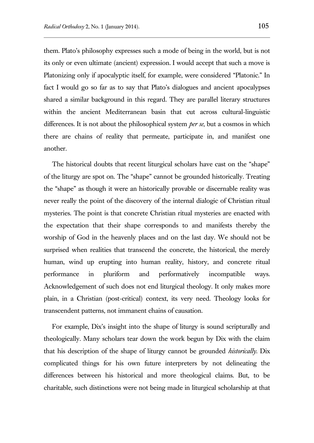them. Plato's philosophy expresses such a mode of being in the world, but is not its only or even ultimate (ancient) expression. I would accept that such a move is Platonizing only if apocalyptic itself, for example, were considered "Platonic." In fact I would go so far as to say that Plato's dialogues and ancient apocalypses shared a similar background in this regard. They are parallel literary structures within the ancient Mediterranean basin that cut across cultural-linguistic differences. It is not about the philosophical system *per se*, but a cosmos in which there are chains of reality that permeate, participate in, and manifest one another.

The historical doubts that recent liturgical scholars have cast on the "shape" of the liturgy are spot on. The "shape" cannot be grounded historically. Treating the "shape" as though it were an historically provable or discernable reality was never really the point of the discovery of the internal dialogic of Christian ritual mysteries. The point is that concrete Christian ritual mysteries are enacted with the expectation that their shape corresponds to and manifests thereby the worship of God in the heavenly places and on the last day. We should not be surprised when realities that transcend the concrete, the historical, the merely human, wind up erupting into human reality, history, and concrete ritual performance in pluriform and performatively incompatible ways. Acknowledgement of such does not end liturgical theology. It only makes more plain, in a Christian (post-critical) context, its very need. Theology looks for transcendent patterns, not immanent chains of causation.

For example, Dix's insight into the shape of liturgy is sound scripturally and theologically. Many scholars tear down the work begun by Dix with the claim that his description of the shape of liturgy cannot be grounded *historically*. Dix complicated things for his own future interpreters by not delineating the differences between his historical and more theological claims. But, to be charitable, such distinctions were not being made in liturgical scholarship at that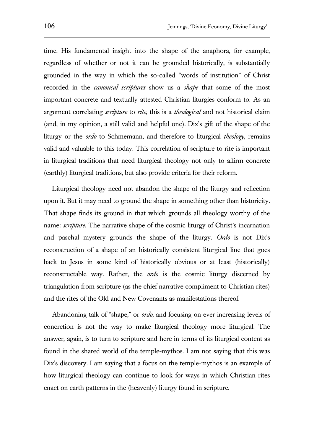time. His fundamental insight into the shape of the anaphora, for example, regardless of whether or not it can be grounded historically, is substantially grounded in the way in which the so-called "words of institution" of Christ recorded in the *canonical scriptures* show us a *shape* that some of the most important concrete and textually attested Christian liturgies conform to. As an argument correlating *scripture* to *rite*, this is a *theological* and not historical claim (and, in my opinion, a still valid and helpful one). Dix's gift of the shape of the liturgy or the *ordo* to Schmemann, and therefore to liturgical *theology*, remains valid and valuable to this today. This correlation of scripture to rite is important in liturgical traditions that need liturgical theology not only to affirm concrete (earthly) liturgical traditions, but also provide criteria for their reform.

Liturgical theology need not abandon the shape of the liturgy and reflection upon it. But it may need to ground the shape in something other than historicity. That shape finds its ground in that which grounds all theology worthy of the name: *scripture*. The narrative shape of the cosmic liturgy of Christ's incarnation and paschal mystery grounds the shape of the liturgy. *Ordo* is not Dix's reconstruction of a shape of an historically consistent liturgical line that goes back to Jesus in some kind of historically obvious or at least (historically) reconstructable way. Rather, the *ordo* is the cosmic liturgy discerned by triangulation from scripture (as the chief narrative compliment to Christian rites) and the rites of the Old and New Covenants as manifestations thereof.

Abandoning talk of "shape," or *ordo*, and focusing on ever increasing levels of concretion is not the way to make liturgical theology more liturgical. The answer, again, is to turn to scripture and here in terms of its liturgical content as found in the shared world of the temple-mythos. I am not saying that this was Dix's discovery. I am saying that a focus on the temple-mythos is an example of how liturgical theology can continue to look for ways in which Christian rites enact on earth patterns in the (heavenly) liturgy found in scripture.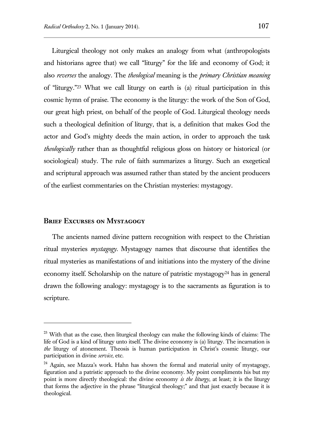Liturgical theology not only makes an analogy from what (anthropologists and historians agree that) we call "liturgy" for the life and economy of God; it also *reverses* the analogy. The *theological* meaning is the *primary Christian meaning* of "liturgy."<sup>23</sup> What we call liturgy on earth is (a) ritual participation in this cosmic hymn of praise. The economy is the liturgy: the work of the Son of God, our great high priest, on behalf of the people of God. Liturgical theology needs such a theological definition of liturgy, that is, a definition that makes God the actor and God's mighty deeds the main action, in order to approach the task *theologically* rather than as thoughtful religious gloss on history or historical (or sociological) study. The rule of faith summarizes a liturgy. Such an exegetical and scriptural approach was assumed rather than stated by the ancient producers of the earliest commentaries on the Christian mysteries: mystagogy.

#### **Brief Excurses on Mystagogy**

 $\overline{a}$ 

The ancients named divine pattern recognition with respect to the Christian ritual mysteries *mystagogy*. Mystagogy names that discourse that identifies the ritual mysteries as manifestations of and initiations into the mystery of the divine economy itself. Scholarship on the nature of patristic mystagogy<sup>24</sup> has in general drawn the following analogy: mystagogy is to the sacraments as figuration is to scripture.

 $2<sup>23</sup>$  With that as the case, then liturgical theology can make the following kinds of claims: The life of God is a kind of liturgy unto itself. The divine economy is (a) liturgy. The incarnation is *the* liturgy of atonement. Theosis is human participation in Christ's cosmic liturgy, our participation in divine *service*, etc.

<sup>&</sup>lt;sup>24</sup> Again, see Mazza's work. Hahn has shown the formal and material unity of mystagogy, figuration and a patristic approach to the divine economy. My point compliments his but my point is more directly theological: the divine economy *is the liturgy*, at least; it is the liturgy that forms the adjective in the phrase "liturgical theology;" and that just exactly because it is theological.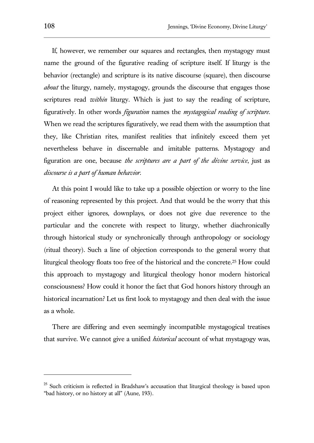If, however, we remember our squares and rectangles, then mystagogy must name the ground of the figurative reading of scripture itself. If liturgy is the behavior (rectangle) and scripture is its native discourse (square), then discourse *about* the liturgy, namely, mystagogy, grounds the discourse that engages those scriptures read *within* liturgy. Which is just to say the reading of scripture, figuratively. In other words *figuration* names the *mystagogical reading of scripture*. When we read the scriptures figuratively, we read them with the assumption that they, like Christian rites, manifest realities that infinitely exceed them yet nevertheless behave in discernable and imitable patterns. Mystagogy and figuration are one, because *the scriptures are a part of the divine service*, just as *discourse is a part of human behavior*.

At this point I would like to take up a possible objection or worry to the line of reasoning represented by this project. And that would be the worry that this project either ignores, downplays, or does not give due reverence to the particular and the concrete with respect to liturgy, whether diachronically through historical study or synchronically through anthropology or sociology (ritual theory). Such a line of objection corresponds to the general worry that liturgical theology floats too free of the historical and the concrete.<sup>25</sup> How could this approach to mystagogy and liturgical theology honor modern historical consciousness? How could it honor the fact that God honors history through an historical incarnation? Let us first look to mystagogy and then deal with the issue as a whole.

There are differing and even seemingly incompatible mystagogical treatises that survive. We cannot give a unified *historical* account of what mystagogy was,

 $25$  Such criticism is reflected in Bradshaw's accusation that liturgical theology is based upon "bad history, or no history at all" (Aune, 193).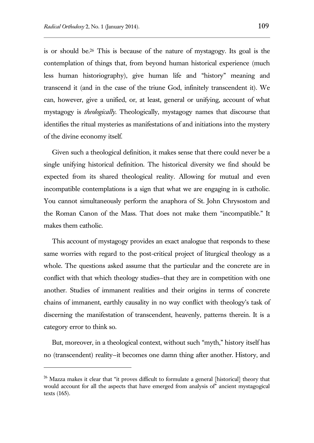l

is or should be.<sup>26</sup> This is because of the nature of mystagogy. Its goal is the contemplation of things that, from beyond human historical experience (much less human historiography), give human life and "history" meaning and transcend it (and in the case of the triune God, infinitely transcendent it). We can, however, give a unified, or, at least, general or unifying, account of what mystagogy is *theologically*. Theologically, mystagogy names that discourse that identifies the ritual mysteries as manifestations of and initiations into the mystery of the divine economy itself.

Given such a theological definition, it makes sense that there could never be a single unifying historical definition. The historical diversity we find should be expected from its shared theological reality. Allowing for mutual and even incompatible contemplations is a sign that what we are engaging in is catholic. You cannot simultaneously perform the anaphora of St. John Chrysostom and the Roman Canon of the Mass. That does not make them "incompatible." It makes them catholic.

This account of mystagogy provides an exact analogue that responds to these same worries with regard to the post-critical project of liturgical theology as a whole. The questions asked assume that the particular and the concrete are in conflict with that which theology studies—that they are in competition with one another. Studies of immanent realities and their origins in terms of concrete chains of immanent, earthly causality in no way conflict with theology's task of discerning the manifestation of transcendent, heavenly, patterns therein. It is a category error to think so.

But, moreover, in a theological context, without such "myth," history itself has no (transcendent) reality—it becomes one damn thing after another. History, and

<sup>&</sup>lt;sup>26</sup> Mazza makes it clear that "it proves difficult to formulate a general [historical] theory that would account for all the aspects that have emerged from analysis of" ancient mystagogical texts (165).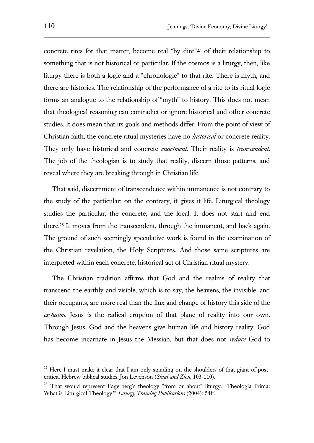concrete rites for that matter, become real "by dint"<sup>27</sup> of their relationship to something that is not historical or particular. If the cosmos is a liturgy, then, like liturgy there is both a logic and a "chronologic" to that rite. There is myth, and there are histories. The relationship of the performance of a rite to its ritual logic forms an analogue to the relationship of "myth" to history. This does not mean that theological reasoning can contradict or ignore historical and other concrete studies. It does mean that its goals and methods differ. From the point of view of Christian faith, the concrete ritual mysteries have no *historical* or concrete reality. They only have historical and concrete *enactment*. Their reality is *transcendent*. The job of the theologian is to study that reality, discern those patterns, and reveal where they are breaking through in Christian life.

That said, discernment of transcendence within immanence is not contrary to the study of the particular; on the contrary, it gives it life. Liturgical theology studies the particular, the concrete, and the local. It does not start and end there.<sup>28</sup> It moves from the transcendent, through the immanent, and back again. The ground of such seemingly speculative work is found in the examination of the Christian revelation, the Holy Scriptures. And those same scriptures are interpreted within each concrete, historical act of Christian ritual mystery.

The Christian tradition affirms that God and the realms of reality that transcend the earthly and visible, which is to say, the heavens, the invisible, and their occupants, are more real than the flux and change of history this side of the *eschaton*. Jesus is the radical eruption of that plane of reality into our own. Through Jesus, God and the heavens give human life and history reality. God has become incarnate in Jesus the Messiah, but that does not *reduce* God to

 $27$  Here I must make it clear that I am only standing on the shoulders of that giant of postcritical Hebrew biblical studies, Jon Levenson (*Sinai and Zion*, 103-110).

<sup>&</sup>lt;sup>28</sup> That would represent Fagerberg's theology "from or about" liturgy. "Theologia Prima: What is Liturgical Theology?" *Liturgy Training Publications* (2004): 54ff.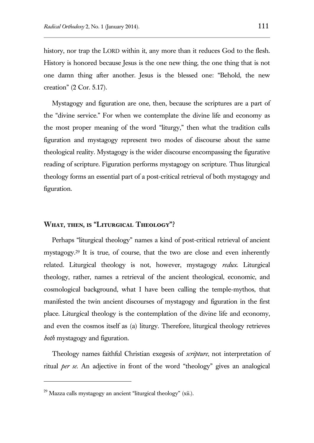history, nor trap the LORD within it, any more than it reduces God to the flesh. History is honored because Jesus is the one new thing, the one thing that is not one damn thing after another. Jesus is the blessed one: "Behold, the new creation" (2 Cor. 5.17).

Mystagogy and figuration are one, then, because the scriptures are a part of the "divine service." For when we contemplate the divine life and economy as the most proper meaning of the word "liturgy," then what the tradition calls figuration and mystagogy represent two modes of discourse about the same theological reality. Mystagogy is the wider discourse encompassing the figurative reading of scripture. Figuration performs mystagogy on scripture. Thus liturgical theology forms an essential part of a post-critical retrieval of both mystagogy and figuration.

### **What, then, is "Liturgical Theology"?**

Perhaps "liturgical theology" names a kind of post-critical retrieval of ancient mystagogy.<sup>29</sup> It is true, of course, that the two are close and even inherently related. Liturgical theology is not, however, mystagogy *redux*. Liturgical theology, rather, names a retrieval of the ancient theological, economic, and cosmological background, what I have been calling the temple-mythos, that manifested the twin ancient discourses of mystagogy and figuration in the first place. Liturgical theology is the contemplation of the divine life and economy, and even the cosmos itself as (a) liturgy. Therefore, liturgical theology retrieves *both* mystagogy and figuration.

Theology names faithful Christian exegesis of *scripture*, not interpretation of ritual *per se*. An adjective in front of the word "theology" gives an analogical

 $^{29}$  Mazza calls mystagogy an ancient "liturgical theology" (xii.).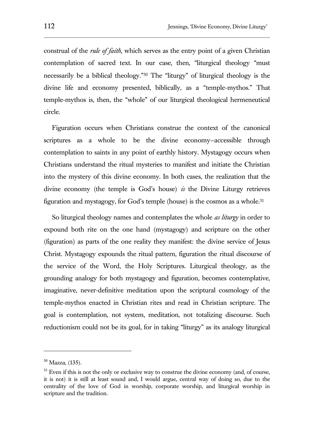construal of the *rule of faith,* which serves as the entry point of a given Christian contemplation of sacred text. In our case, then, "liturgical theology "must necessarily be a biblical theology."<sup>30</sup> The "liturgy" of liturgical theology is the divine life and economy presented, biblically, as a "temple-mythos." That temple-mythos is, then, the "whole" of our liturgical theological hermeneutical circle.

Figuration occurs when Christians construe the context of the canonical scriptures as a whole to be the divine economy—accessible through contemplation to saints in any point of earthly history. Mystagogy occurs when Christians understand the ritual mysteries to manifest and initiate the Christian into the mystery of this divine economy. In both cases, the realization that the divine economy (the temple is God's house) *is* the Divine Liturgy retrieves figuration and mystagogy, for God's temple (house) is the cosmos as a whole.<sup>31</sup>

So liturgical theology names and contemplates the whole *as liturgy* in order to expound both rite on the one hand (mystagogy) and scripture on the other (figuration) as parts of the one reality they manifest: the divine service of Jesus Christ. Mystagogy expounds the ritual pattern, figuration the ritual discourse of the service of the Word, the Holy Scriptures. Liturgical theology, as the grounding analogy for both mystagogy and figuration, becomes contemplative, imaginative, never-definitive meditation upon the scriptural cosmology of the temple-mythos enacted in Christian rites and read in Christian scripture. The goal is contemplation, not system, meditation, not totalizing discourse. Such reductionism could not be its goal, for in taking "liturgy" as its analogy liturgical

 $30$  Mazza, (135).

 $31$  Even if this is not the only or exclusive way to construe the divine economy (and, of course, it is not) it is still at least sound and, I would argue, central way of doing so, due to the centrality of the love of God in worship, corporate worship, and liturgical worship in scripture and the tradition.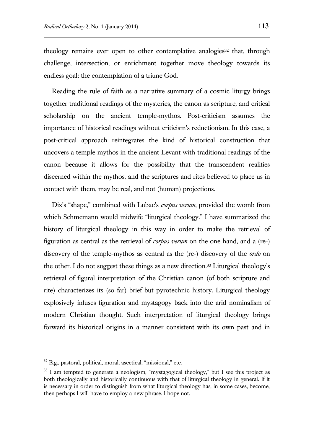theology remains ever open to other contemplative analogies<sup>32</sup> that, through challenge, intersection, or enrichment together move theology towards its endless goal: the contemplation of a triune God.

Reading the rule of faith as a narrative summary of a cosmic liturgy brings together traditional readings of the mysteries, the canon as scripture, and critical scholarship on the ancient temple-mythos. Post-criticism assumes the importance of historical readings without criticism's reductionism. In this case, a post-critical approach reintegrates the kind of historical construction that uncovers a temple-mythos in the ancient Levant with traditional readings of the canon because it allows for the possibility that the transcendent realities discerned within the mythos, and the scriptures and rites believed to place us in contact with them, may be real, and not (human) projections.

Dix's "shape," combined with Lubac's *corpus verum*, provided the womb from which Schmemann would midwife "liturgical theology." I have summarized the history of liturgical theology in this way in order to make the retrieval of figuration as central as the retrieval of *corpus verum* on the one hand, and a (re-) discovery of the temple-mythos as central as the (re-) discovery of the *ordo* on the other. I do not suggest these things as a new direction.<sup>33</sup> Liturgical theology's retrieval of figural interpretation of the Christian canon (of both scripture and rite) characterizes its (so far) brief but pyrotechnic history. Liturgical theology explosively infuses figuration and mystagogy back into the arid nominalism of modern Christian thought. Such interpretation of liturgical theology brings forward its historical origins in a manner consistent with its own past and in

 $32$  E.g., pastoral, political, moral, ascetical, "missional," etc.

<sup>&</sup>lt;sup>33</sup> I am tempted to generate a neologism, "mystagogical theology," but I see this project as both theologically and historically continuous with that of liturgical theology in general. If it is necessary in order to distinguish from what liturgical theology has, in some cases, become, then perhaps I will have to employ a new phrase. I hope not.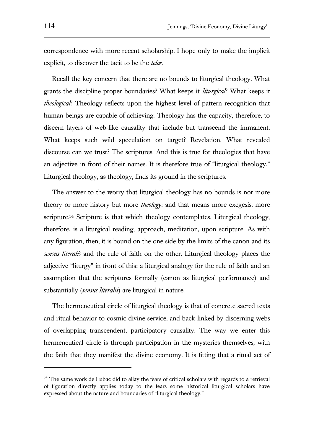correspondence with more recent scholarship. I hope only to make the implicit explicit, to discover the tacit to be the *telos*.

Recall the key concern that there are no bounds to liturgical theology. What grants the discipline proper boundaries? What keeps it *liturgical*? What keeps it *theological*? Theology reflects upon the highest level of pattern recognition that human beings are capable of achieving. Theology has the capacity, therefore, to discern layers of web-like causality that include but transcend the immanent. What keeps such wild speculation on target? Revelation. What revealed discourse can we trust? The scriptures. And this is true for theologies that have an adjective in front of their names. It is therefore true of "liturgical theology." Liturgical theology, as theology, finds its ground in the scriptures.

The answer to the worry that liturgical theology has no bounds is not more theory or more history but more *theology*: and that means more exegesis, more scripture.<sup>34</sup> Scripture is that which theology contemplates. Liturgical theology, therefore, is a liturgical reading, approach, meditation, upon scripture. As with any figuration, then, it is bound on the one side by the limits of the canon and its *sensus literalis* and the rule of faith on the other. Liturgical theology places the adjective "liturgy" in front of this: a liturgical analogy for the rule of faith and an assumption that the scriptures formally (canon as liturgical performance) and substantially (*sensus literalis*) are liturgical in nature.

The hermeneutical circle of liturgical theology is that of concrete sacred texts and ritual behavior to cosmic divine service, and back-linked by discerning webs of overlapping transcendent, participatory causality. The way we enter this hermeneutical circle is through participation in the mysteries themselves, with the faith that they manifest the divine economy. It is fitting that a ritual act of

 $34$  The same work de Lubac did to allay the fears of critical scholars with regards to a retrieval of figuration directly applies today to the fears some historical liturgical scholars have expressed about the nature and boundaries of "liturgical theology."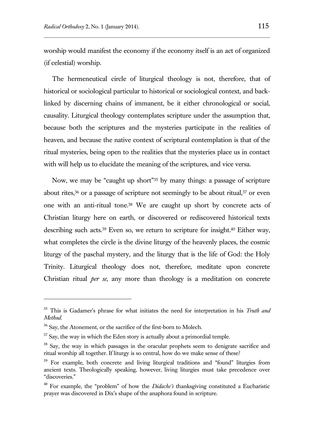worship would manifest the economy if the economy itself is an act of organized (if celestial) worship.

The hermeneutical circle of liturgical theology is not, therefore, that of historical or sociological particular to historical or sociological context, and backlinked by discerning chains of immanent, be it either chronological or social, causality. Liturgical theology contemplates scripture under the assumption that, because both the scriptures and the mysteries participate in the realities of heaven, and because the native context of scriptural contemplation is that of the ritual mysteries, being open to the realities that the mysteries place us in contact with will help us to elucidate the meaning of the scriptures, and vice versa.

Now, we may be "caught up short"<sup>35</sup> by many things: a passage of scripture about rites, $36$  or a passage of scripture not seemingly to be about ritual, $37$  or even one with an anti-ritual tone.<sup>38</sup> We are caught up short by concrete acts of Christian liturgy here on earth, or discovered or rediscovered historical texts describing such acts.<sup>39</sup> Even so, we return to scripture for insight.<sup>40</sup> Either way, what completes the circle is the divine liturgy of the heavenly places, the cosmic liturgy of the paschal mystery, and the liturgy that is the life of God: the Holy Trinity. Liturgical theology does not, therefore, meditate upon concrete Christian ritual *per se,* any more than theology is a meditation on concrete

<sup>35</sup> This is Gadamer's phrase for what initiates the need for interpretation in his *Truth and Method*.

<sup>&</sup>lt;sup>36</sup> Say, the Atonement, or the sacrifice of the first-born to Molech.

 $37$  Say, the way in which the Eden story is actually about a primordial temple.

<sup>&</sup>lt;sup>38</sup> Say, the way in which passages in the oracular prophets seem to denigrate sacrifice and ritual worship all together. If liturgy is so central, how do we make sense of these?

<sup>&</sup>lt;sup>39</sup> For example, both concrete and living liturgical traditions and "found" liturgies from ancient texts. Theologically speaking, however, living liturgies must take precedence over "discoveries."

<sup>40</sup> For example, the "problem" of how the *Didache's* thanksgiving constituted a Eucharistic prayer was discovered in Dix's shape of the anaphora found in scripture.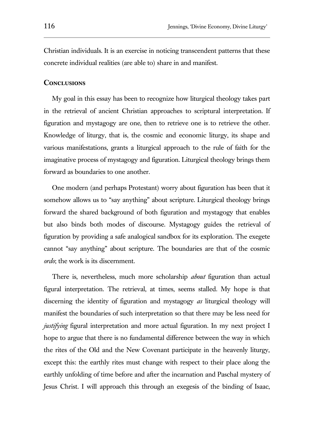Christian individuals. It is an exercise in noticing transcendent patterns that these concrete individual realities (are able to) share in and manifest.

#### **Conclusions**

My goal in this essay has been to recognize how liturgical theology takes part in the retrieval of ancient Christian approaches to scriptural interpretation. If figuration and mystagogy are one, then to retrieve one is to retrieve the other. Knowledge of liturgy, that is, the cosmic and economic liturgy, its shape and various manifestations, grants a liturgical approach to the rule of faith for the imaginative process of mystagogy and figuration. Liturgical theology brings them forward as boundaries to one another.

One modern (and perhaps Protestant) worry about figuration has been that it somehow allows us to "say anything" about scripture. Liturgical theology brings forward the shared background of both figuration and mystagogy that enables but also binds both modes of discourse. Mystagogy guides the retrieval of figuration by providing a safe analogical sandbox for its exploration. The exegete cannot "say anything" about scripture. The boundaries are that of the cosmic *ordo*; the work is its discernment.

There is, nevertheless, much more scholarship *about* figuration than actual figural interpretation. The retrieval, at times, seems stalled. My hope is that discerning the identity of figuration and mystagogy *as* liturgical theology will manifest the boundaries of such interpretation so that there may be less need for *justifying* figural interpretation and more actual figuration. In my next project I hope to argue that there is no fundamental difference between the way in which the rites of the Old and the New Covenant participate in the heavenly liturgy, except this: the earthly rites must change with respect to their place along the earthly unfolding of time before and after the incarnation and Paschal mystery of Jesus Christ. I will approach this through an exegesis of the binding of Isaac,